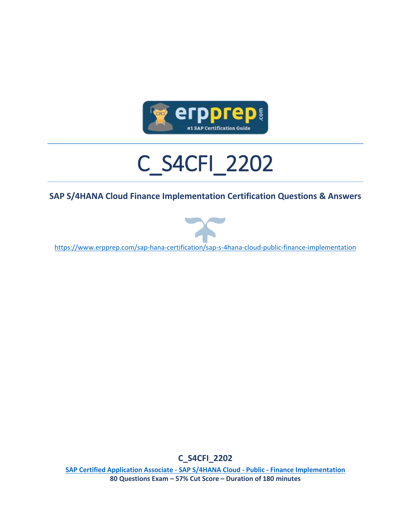

# C\_S4CFI\_2202

#### **SAP S/4HANA Cloud Finance Implementation Certification Questions & Answers**



<https://www.erpprep.com/sap-hana-certification/sap-s-4hana-cloud-public-finance-implementation>

**C\_S4CFI\_2202**

**[SAP Certified Application Associate -](https://training.sap.com/certification/c_s4cfi_2202-sap-certified-application-associate---sap-s4hana-cloud-public---finance-implementation-g/) SAP S/4HANA Cloud - Public - Finance Implementation 80 Questions Exam – 57% Cut Score – Duration of 180 minutes**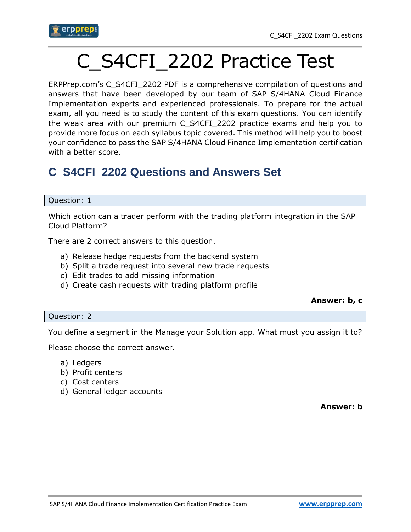

## C\_S4CFI\_2202 Practice Test

ERPPrep.com's C\_S4CFI\_2202 PDF is a comprehensive compilation of questions and answers that have been developed by our team of SAP S/4HANA Cloud Finance Implementation experts and experienced professionals. To prepare for the actual exam, all you need is to study the content of this exam questions. You can identify the weak area with our premium C\_S4CFI\_2202 practice exams and help you to provide more focus on each syllabus topic covered. This method will help you to boost your confidence to pass the SAP S/4HANA Cloud Finance Implementation certification with a better score.

## **C\_S4CFI\_2202 Questions and Answers Set**

#### Question: 1

Which action can a trader perform with the trading platform integration in the SAP Cloud Platform?

There are 2 correct answers to this question.

- a) Release hedge requests from the backend system
- b) Split a trade request into several new trade requests
- c) Edit trades to add missing information
- d) Create cash requests with trading platform profile

#### **Answer: b, c**

#### Question: 2

You define a segment in the Manage your Solution app. What must you assign it to?

Please choose the correct answer.

- a) Ledgers
- b) Profit centers
- c) Cost centers
- d) General ledger accounts

**Answer: b**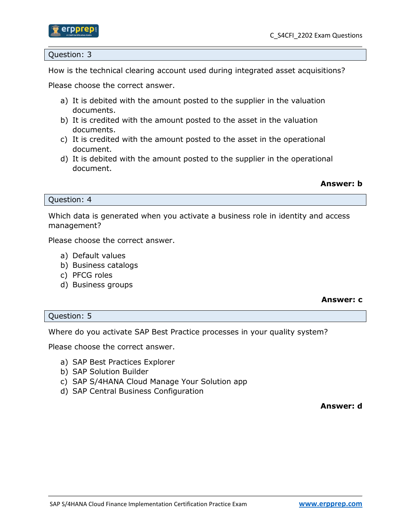

#### Question: 3

How is the technical clearing account used during integrated asset acquisitions?

Please choose the correct answer.

- a) It is debited with the amount posted to the supplier in the valuation documents.
- b) It is credited with the amount posted to the asset in the valuation documents.
- c) It is credited with the amount posted to the asset in the operational document.
- d) It is debited with the amount posted to the supplier in the operational document.

#### **Answer: b**

#### Question: 4

Which data is generated when you activate a business role in identity and access management?

Please choose the correct answer.

- a) Default values
- b) Business catalogs
- c) PFCG roles
- d) Business groups

#### **Answer: c**

#### Question: 5

Where do you activate SAP Best Practice processes in your quality system?

Please choose the correct answer.

- a) SAP Best Practices Explorer
- b) SAP Solution Builder
- c) SAP S/4HANA Cloud Manage Your Solution app
- d) SAP Central Business Configuration

**Answer: d**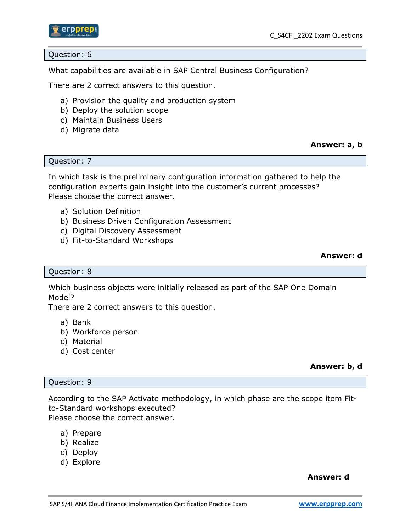

#### Question: 6

What capabilities are available in SAP Central Business Configuration?

There are 2 correct answers to this question.

- a) Provision the quality and production system
- b) Deploy the solution scope
- c) Maintain Business Users
- d) Migrate data

#### **Answer: a, b**

#### Question: 7

In which task is the preliminary configuration information gathered to help the configuration experts gain insight into the customer's current processes? Please choose the correct answer.

- a) Solution Definition
- b) Business Driven Configuration Assessment
- c) Digital Discovery Assessment
- d) Fit-to-Standard Workshops

#### **Answer: d**

#### Question: 8

Which business objects were initially released as part of the SAP One Domain Model?

There are 2 correct answers to this question.

- a) Bank
- b) Workforce person
- c) Material
- d) Cost center

#### **Answer: b, d**

#### Question: 9

According to the SAP Activate methodology, in which phase are the scope item Fitto-Standard workshops executed?

Please choose the correct answer.

- a) Prepare
- b) Realize
- c) Deploy
- d) Explore

#### **Answer: d**